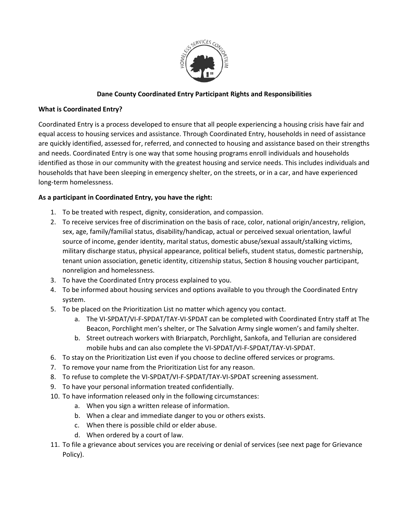

# **Dane County Coordinated Entry Participant Rights and Responsibilities**

## **What is Coordinated Entry?**

Coordinated Entry is a process developed to ensure that all people experiencing a housing crisis have fair and equal access to housing services and assistance. Through Coordinated Entry, households in need of assistance are quickly identified, assessed for, referred, and connected to housing and assistance based on their strengths and needs. Coordinated Entry is one way that some housing programs enroll individuals and households identified as those in our community with the greatest housing and service needs. This includes individuals and households that have been sleeping in emergency shelter, on the streets, or in a car, and have experienced long-term homelessness.

### **As a participant in Coordinated Entry, you have the right:**

- 1. To be treated with respect, dignity, consideration, and compassion.
- 2. To receive services free of discrimination on the basis of race, color, national origin/ancestry, religion, sex, age, family/familial status, disability/handicap, actual or perceived sexual orientation, lawful source of income, gender identity, marital status, domestic abuse/sexual assault/stalking victims, military discharge status, physical appearance, political beliefs, student status, domestic partnership, tenant union association, genetic identity, citizenship status, Section 8 housing voucher participant, nonreligion and homelessness.
- 3. To have the Coordinated Entry process explained to you.
- 4. To be informed about housing services and options available to you through the Coordinated Entry system.
- 5. To be placed on the Prioritization List no matter which agency you contact.
	- a. The VI-SPDAT/VI-F-SPDAT/TAY-VI-SPDAT can be completed with Coordinated Entry staff at The Beacon, Porchlight men's shelter, or The Salvation Army single women's and family shelter.
	- b. Street outreach workers with Briarpatch, Porchlight, Sankofa, and Tellurian are considered mobile hubs and can also complete the VI-SPDAT/VI-F-SPDAT/TAY-VI-SPDAT.
- 6. To stay on the Prioritization List even if you choose to decline offered services or programs.
- 7. To remove your name from the Prioritization List for any reason.
- 8. To refuse to complete the VI-SPDAT/VI-F-SPDAT/TAY-VI-SPDAT screening assessment.
- 9. To have your personal information treated confidentially.
- 10. To have information released only in the following circumstances:
	- a. When you sign a written release of information.
	- b. When a clear and immediate danger to you or others exists.
	- c. When there is possible child or elder abuse.
	- d. When ordered by a court of law.
- 11. To file a grievance about services you are receiving or denial of services (see next page for Grievance Policy).